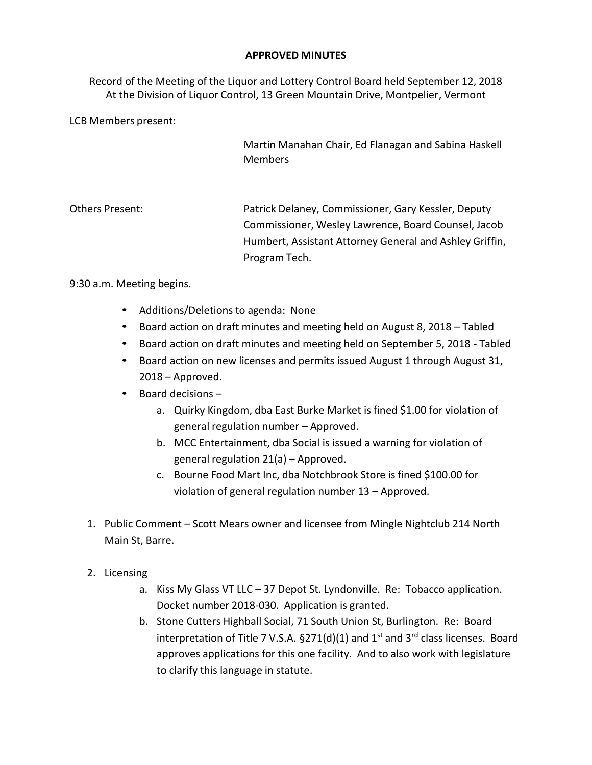## **APPROVED MINUTES**

Record of the Meeting of the Liquor and Lottery Control Board held September 12, 2018 At the Division of Liquor Control, 13 Green Mountain Drive, Montpelier, Vermont

LCB Members present:

Martin Manahan Chair, Ed Flanagan and Sabina Haskell Members

Others Present: Patrick Delaney, Commissioner, Gary Kessler, Deputy Commissioner, Wesley Lawrence, Board Counsel, Jacob Humbert, Assistant Attorney General and Ashley Griffin, Program Tech.

## 9:30 a.m. Meeting begins.

- Additions/Deletions to agenda: None
- Board action on draft minutes and meeting held on August 8, 2018 Tabled
- Board action on draft minutes and meeting held on September 5, 2018 Tabled
- Board action on new licenses and permits issued August 1 through August 31, 2018 – Approved.
- Board decisions
	- a. Quirky Kingdom, dba East Burke Market is fined \$1.00 for violation of general regulation number – Approved.
	- b. MCC Entertainment, dba Social is issued a warning for violation of general regulation 21(a) – Approved.
	- c. Bourne Food Mart Inc, dba Notchbrook Store is fined \$100.00 for violation of general regulation number 13 – Approved.
- 1. Public Comment Scott Mears owner and licensee from Mingle Nightclub 214 North Main St, Barre.
- 2. Licensing
	- a. Kiss My Glass VT LLC 37 Depot St. Lyndonville. Re: Tobacco application. Docket number 2018-030. Application is granted.
	- b. Stone Cutters Highball Social, 71 South Union St, Burlington. Re: Board interpretation of Title 7 V.S.A.  $\S 271(d)(1)$  and 1<sup>st</sup> and 3<sup>rd</sup> class licenses. Board approves applications for this one facility. And to also work with legislature to clarify this language in statute.